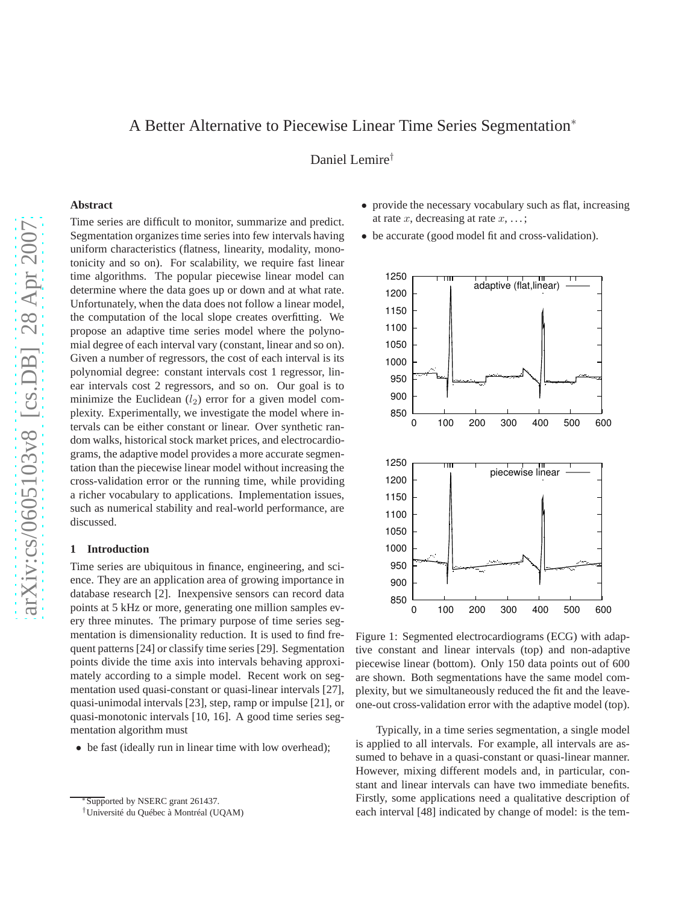# A Better Alternative to Piecewise Linear Time Series Segmentation<sup>∗</sup>

Daniel Lemire†

# **Abstract**

Time series are difficult to monitor, summarize and predict. Segmentation organizes time series into few intervals having uniform characteristics (flatness, linearity, modality, monotonicity and so on). For scalability, we require fast linear time algorithms. The popular piecewise linear model can determine where the data goes up or down and at what rate. Unfortunately, when the data does not follow a linear model, the computation of the local slope creates overfitting. We propose an adaptive time series model where the polynomial degree of each interval vary (constant, linear and so on). Given a number of regressors, the cost of each interval is its polynomial degree: constant intervals cost 1 regressor, linear intervals cost 2 regressors, and so on. Our goal is to minimize the Euclidean  $(l_2)$  error for a given model complexity. Experimentally, we investigate the model where intervals can be either constant or linear. Over synthetic random walks, historical stock market prices, and electrocardiograms, the adaptive model provides a more accurate segmentation than the piecewise linear model without increasing the cross-validation error or the running time, while providing a richer vocabulary to applications. Implementation issues, such as numerical stability and real-world performance, are discussed.

# **1 Introduction**

Time series are ubiquitous in finance, engineering, and science. They are an application area of growing importance in database research [2]. Inexpensive sensors can record data points at 5 kHz or more, generating one million samples every three minutes. The primary purpose of time series segmentation is dimensionality reduction. It is used to find frequent patterns [24] or classify time series [29]. Segmentation points divide the time axis into intervals behaving approximately according to a simple model. Recent work on segmentation used quasi-constant or quasi-linear intervals [27], quasi-unimodal intervals [23], step, ramp or impulse [21], or quasi-monotonic intervals [10, 16]. A good time series segmentation algorithm must

• be fast (ideally run in linear time with low overhead);

- provide the necessary vocabulary such as flat, increasing at rate  $x$ , decreasing at rate  $x$ , ...;
- be accurate (good model fit and cross-validation).



Figure 1: Segmented electrocardiograms (ECG) with adaptive constant and linear intervals (top) and non-adaptive piecewise linear (bottom). Only 150 data points out of 600 are shown. Both segmentations have the same model complexity, but we simultaneously reduced the fit and the leaveone-out cross-validation error with the adaptive model (top).

Typically, in a time series segmentation, a single model is applied to all intervals. For example, all intervals are assumed to behave in a quasi-constant or quasi-linear manner. However, mixing different models and, in particular, constant and linear intervals can have two immediate benefits. Firstly, some applications need a qualitative description of each interval [48] indicated by change of model: is the tem-

Supported by NSERC grant 261437.

<sup>†</sup>Université du Québec à Montréal (UQAM)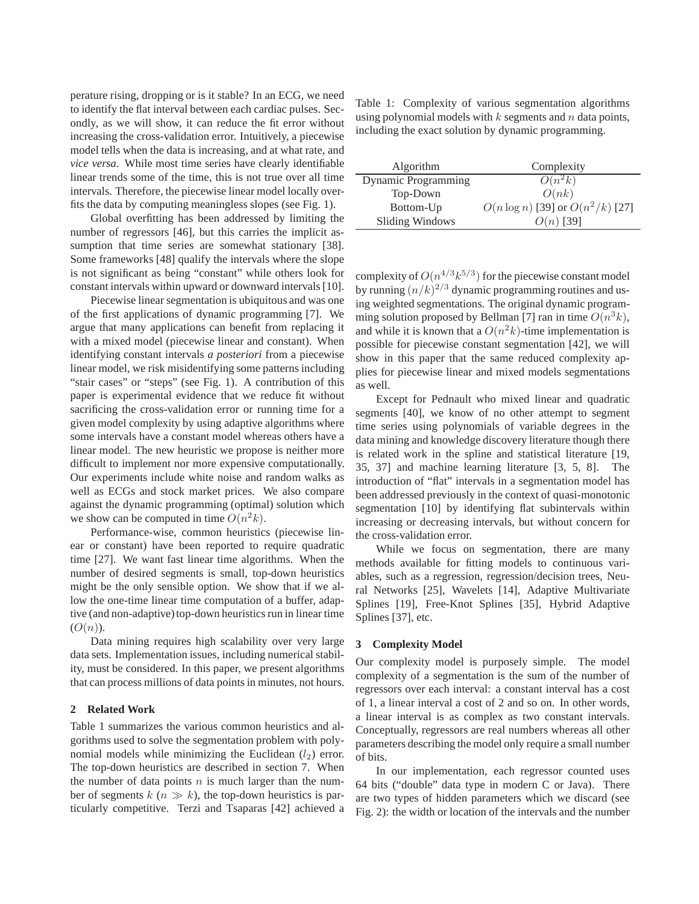perature rising, dropping or is it stable? In an ECG, we need to identify the flat interval between each cardiac pulses. Secondly, as we will show, it can reduce the fit error without increasing the cross-validation error. Intuitively, a piecewise model tells when the data is increasing, and at what rate, and *vice versa*. While most time series have clearly identifiable linear trends some of the time, this is not true over all time intervals. Therefore, the piecewise linear model locally overfits the data by computing meaningless slopes (see Fig. 1).

Global overfitting has been addressed by limiting the number of regressors [46], but this carries the implicit assumption that time series are somewhat stationary [38]. Some frameworks [48] qualify the intervals where the slope is not significant as being "constant" while others look for constant intervals within upward or downward intervals [10].

Piecewise linear segmentation is ubiquitous and was one of the first applications of dynamic programming [7]. We argue that many applications can benefit from replacing it with a mixed model (piecewise linear and constant). When identifying constant intervals *a posteriori* from a piecewise linear model, we risk misidentifying some patterns including "stair cases" or "steps" (see Fig. 1). A contribution of this paper is experimental evidence that we reduce fit without sacrificing the cross-validation error or running time for a given model complexity by using adaptive algorithms where some intervals have a constant model whereas others have a linear model. The new heuristic we propose is neither more difficult to implement nor more expensive computationally. Our experiments include white noise and random walks as well as ECGs and stock market prices. We also compare against the dynamic programming (optimal) solution which we show can be computed in time  $O(n^2k)$ .

Performance-wise, common heuristics (piecewise linear or constant) have been reported to require quadratic time [27]. We want fast linear time algorithms. When the number of desired segments is small, top-down heuristics might be the only sensible option. We show that if we allow the one-time linear time computation of a buffer, adaptive (and non-adaptive) top-down heuristics run in linear time  $(O(n)).$ 

Data mining requires high scalability over very large data sets. Implementation issues, including numerical stability, must be considered. In this paper, we present algorithms that can process millions of data points in minutes, not hours.

# **2 Related Work**

Table 1 summarizes the various common heuristics and algorithms used to solve the segmentation problem with polynomial models while minimizing the Euclidean  $(l_2)$  error. The top-down heuristics are described in section 7. When the number of data points  $n$  is much larger than the number of segments  $k (n \gg k)$ , the top-down heuristics is particularly competitive. Terzi and Tsaparas [42] achieved a Table 1: Complexity of various segmentation algorithms using polynomial models with  $k$  segments and  $n$  data points, including the exact solution by dynamic programming.

| Algorithm              | Complexity                            |
|------------------------|---------------------------------------|
| Dynamic Programming    | $O(n^2k)$                             |
| Top-Down               | O(nk)                                 |
| Bottom-Up              | $O(n \log n)$ [39] or $O(n^2/k)$ [27] |
| <b>Sliding Windows</b> | $O(n)$ [39]                           |

complexity of  $O(n^{4/3}k^{5/3})$  for the piecewise constant model by running  $(n/k)^{2/3}$  dynamic programming routines and using weighted segmentations. The original dynamic programming solution proposed by Bellman [7] ran in time  $O(n^3k)$ , and while it is known that a  $O(n^2k)$ -time implementation is possible for piecewise constant segmentation [42], we will show in this paper that the same reduced complexity applies for piecewise linear and mixed models segmentations as well.

Except for Pednault who mixed linear and quadratic segments [40], we know of no other attempt to segment time series using polynomials of variable degrees in the data mining and knowledge discovery literature though there is related work in the spline and statistical literature [19, 35, 37] and machine learning literature [3, 5, 8]. The introduction of "flat" intervals in a segmentation model has been addressed previously in the context of quasi-monotonic segmentation [10] by identifying flat subintervals within increasing or decreasing intervals, but without concern for the cross-validation error.

While we focus on segmentation, there are many methods available for fitting models to continuous variables, such as a regression, regression/decision trees, Neural Networks [25], Wavelets [14], Adaptive Multivariate Splines [19], Free-Knot Splines [35], Hybrid Adaptive Splines [37], etc.

#### **3 Complexity Model**

Our complexity model is purposely simple. The model complexity of a segmentation is the sum of the number of regressors over each interval: a constant interval has a cost of 1, a linear interval a cost of 2 and so on. In other words, a linear interval is as complex as two constant intervals. Conceptually, regressors are real numbers whereas all other parameters describing the model only require a small number of bits.

In our implementation, each regressor counted uses 64 bits ("double" data type in modern C or Java). There are two types of hidden parameters which we discard (see Fig. 2): the width or location of the intervals and the number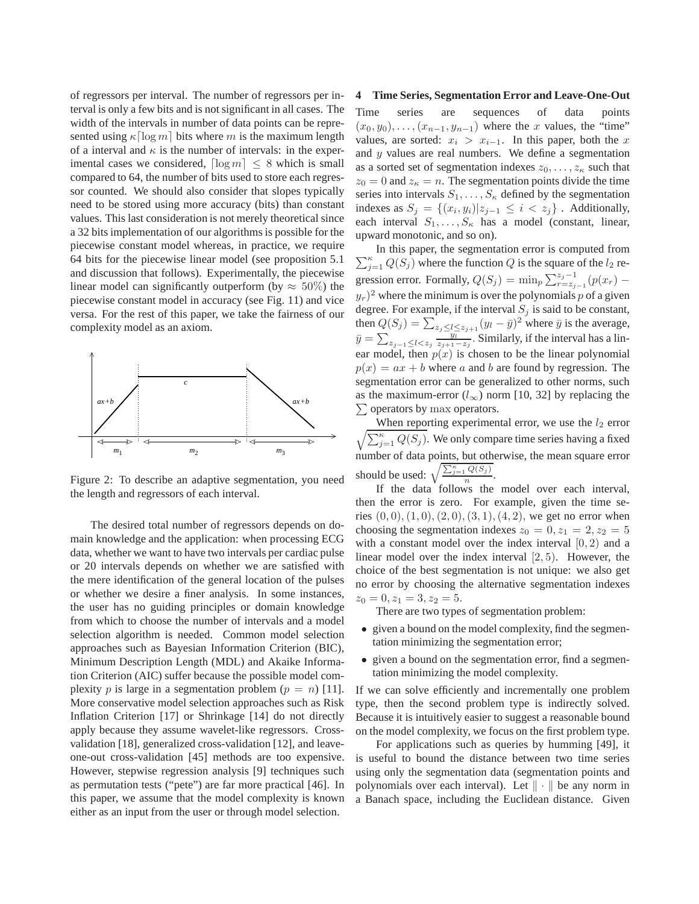of regressors per interval. The number of regressors per interval is only a few bits and is not significant in all cases. The width of the intervals in number of data points can be represented using  $\kappa \lceil \log m \rceil$  bits where m is the maximum length of a interval and  $\kappa$  is the number of intervals: in the experimental cases we considered,  $\lceil \log m \rceil \leq 8$  which is small compared to 64, the number of bits used to store each regressor counted. We should also consider that slopes typically need to be stored using more accuracy (bits) than constant values. This last consideration is not merely theoretical since a 32 bits implementation of our algorithms is possible for the piecewise constant model whereas, in practice, we require 64 bits for the piecewise linear model (see proposition 5.1 and discussion that follows). Experimentally, the piecewise linear model can significantly outperform (by  $\approx 50\%$ ) the piecewise constant model in accuracy (see Fig. 11) and vice versa. For the rest of this paper, we take the fairness of our complexity model as an axiom.



Figure 2: To describe an adaptive segmentation, you need the length and regressors of each interval.

The desired total number of regressors depends on domain knowledge and the application: when processing ECG data, whether we want to have two intervals per cardiac pulse or 20 intervals depends on whether we are satisfied with the mere identification of the general location of the pulses or whether we desire a finer analysis. In some instances, the user has no guiding principles or domain knowledge from which to choose the number of intervals and a model selection algorithm is needed. Common model selection approaches such as Bayesian Information Criterion (BIC), Minimum Description Length (MDL) and Akaike Information Criterion (AIC) suffer because the possible model complexity p is large in a segmentation problem  $(p = n)$  [11]. More conservative model selection approaches such as Risk Inflation Criterion [17] or Shrinkage [14] do not directly apply because they assume wavelet-like regressors. Crossvalidation [18], generalized cross-validation [12], and leaveone-out cross-validation [45] methods are too expensive. However, stepwise regression analysis [9] techniques such as permutation tests ("pete") are far more practical [46]. In this paper, we assume that the model complexity is known either as an input from the user or through model selection.

### **4 Time Series, Segmentation Error and Leave-One-Out**

Time series are sequences of data points  $(x_0, y_0), \ldots, (x_{n-1}, y_{n-1})$  where the x values, the "time" values, are sorted:  $x_i > x_{i-1}$ . In this paper, both the x and  $y$  values are real numbers. We define a segmentation as a sorted set of segmentation indexes  $z_0, \ldots, z_{\kappa}$  such that  $z_0 = 0$  and  $z_{\kappa} = n$ . The segmentation points divide the time series into intervals  $S_1, \ldots, S_{\kappa}$  defined by the segmentation indexes as  $S_j = \{(x_i, y_i)|z_{j-1} \leq i < z_j\}$ . Additionally, each interval  $S_1, \ldots, S_{\kappa}$  has a model (constant, linear, upward monotonic, and so on).

 $\sum_{j=1}^{\kappa} Q(S_j)$  where the function Q is the square of the  $l_2$  re-In this paper, the segmentation error is computed from gression error. Formally,  $Q(S_j) = \min_p \sum_{r=s_{j-1}}^{z_j-1} (p(x_r) - p)$  $(y_r)^2$  where the minimum is over the polynomials p of a given degree. For example, if the interval  $S_i$  is said to be constant, then  $Q(S_j) = \sum_{z_j \le l \le z_{j+1}} (y_l - \bar{y})^2$  where  $\bar{y}$  is the average,  $\bar{y} = \sum_{z_{j-1} \leq l < z_j} \frac{z_{j+1}-z_j}{z_{j+1}-z_j}$ . Similarly, if the interval has a linear model, then  $p(x)$  is chosen to be the linear polynomial  $p(x) = ax + b$  where a and b are found by regression. The segmentation error can be generalized to other norms, such as the maximum-error  $(l_{\infty})$  norm [10, 32] by replacing the  $\sum$  operators by max operators.

 $\frac{1}{2}$ When reporting experimental error, we use the  $l_2$  error  $\sum_{j=1}^{\kappa} Q(S_j)$ . We only compare time series having a fixed number of data points, but otherwise, the mean square error should be used:  $\sqrt{\frac{\sum_{j=1}^{k} Q(S_j)}{n}}$  $rac{\mathscr{L}(\omega_j)}{n}$ .

If the data follows the model over each interval, then the error is zero. For example, given the time series  $(0, 0), (1, 0), (2, 0), (3, 1), (4, 2)$ , we get no error when choosing the segmentation indexes  $z_0 = 0, z_1 = 2, z_2 = 5$ with a constant model over the index interval  $[0, 2)$  and a linear model over the index interval [2, 5). However, the choice of the best segmentation is not unique: we also get no error by choosing the alternative segmentation indexes  $z_0 = 0, z_1 = 3, z_2 = 5.$ 

There are two types of segmentation problem:

- given a bound on the model complexity, find the segmentation minimizing the segmentation error;
- given a bound on the segmentation error, find a segmentation minimizing the model complexity.

If we can solve efficiently and incrementally one problem type, then the second problem type is indirectly solved. Because it is intuitively easier to suggest a reasonable bound on the model complexity, we focus on the first problem type.

For applications such as queries by humming [49], it is useful to bound the distance between two time series using only the segmentation data (segmentation points and polynomials over each interval). Let  $\|\cdot\|$  be any norm in a Banach space, including the Euclidean distance. Given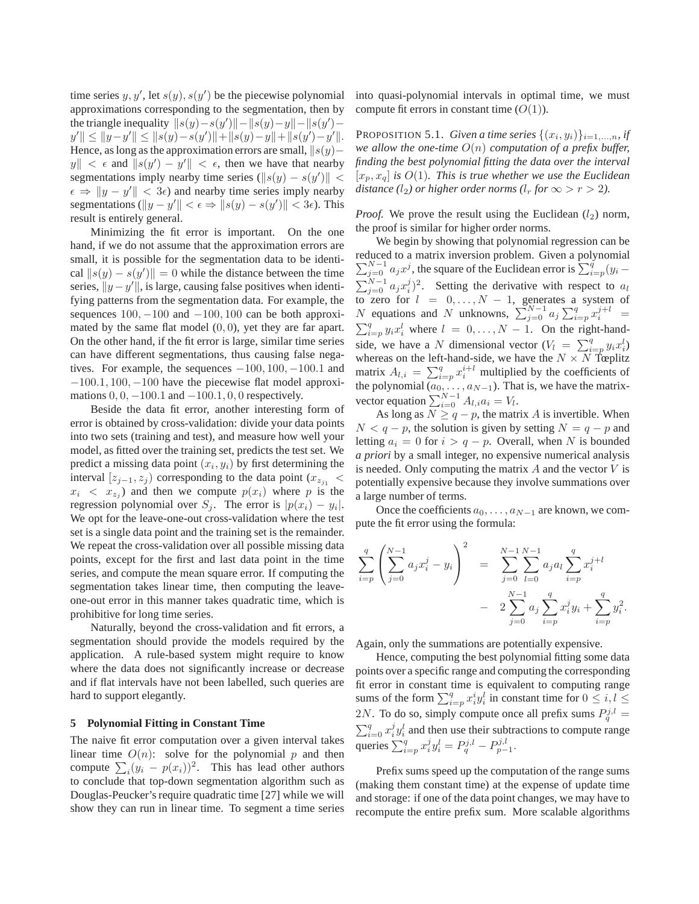time series  $y, y'$ , let  $s(y), s(y')$  be the piecewise polynomial approximations corresponding to the segmentation, then by the triangle inequality  $||s(y) - s(y')|| - ||s(y) - y|| - ||s(y') - y||$  $y' \le ||y-y'|| \le ||s(y)-s(y')|| + ||s(y)-y|| + ||s(y')-y'||.$ Hence, as long as the approximation errors are small,  $||s(y) ||y|| < \epsilon$  and  $||s(y') - y'|| < \epsilon$ , then we have that nearby segmentations imply nearby time series  $(\|s(y) - s(y')\|$  <  $\epsilon \Rightarrow ||y - y'|| < 3\epsilon$ ) and nearby time series imply nearby segmentations  $(\|y - y'\| < \epsilon \Rightarrow \|s(y) - s(y')\| < 3\epsilon$ ). This result is entirely general.

Minimizing the fit error is important. On the one hand, if we do not assume that the approximation errors are small, it is possible for the segmentation data to be identical  $||s(y) - s(y')|| = 0$  while the distance between the time series,  $||y - y'||$ , is large, causing false positives when identifying patterns from the segmentation data. For example, the sequences  $100, -100$  and  $-100, 100$  can be both approximated by the same flat model  $(0, 0)$ , yet they are far apart. On the other hand, if the fit error is large, similar time series can have different segmentations, thus causing false negatives. For example, the sequences  $-100, 100, -100.1$  and  $-100.1$ ,  $100$ ,  $-100$  have the piecewise flat model approximations  $0, 0, -100.1$  and  $-100.1, 0, 0$  respectively.

Beside the data fit error, another interesting form of error is obtained by cross-validation: divide your data points into two sets (training and test), and measure how well your model, as fitted over the training set, predicts the test set. We predict a missing data point  $(x_i, y_i)$  by first determining the interval  $[z_{j-1}, z_j]$  corresponding to the data point  $(x_{z,j}$  <  $x_i < x_{z_i}$ ) and then we compute  $p(x_i)$  where p is the regression polynomial over  $S_j$ . The error is  $|p(x_i) - y_i|$ . We opt for the leave-one-out cross-validation where the test set is a single data point and the training set is the remainder. We repeat the cross-validation over all possible missing data points, except for the first and last data point in the time series, and compute the mean square error. If computing the segmentation takes linear time, then computing the leaveone-out error in this manner takes quadratic time, which is prohibitive for long time series.

Naturally, beyond the cross-validation and fit errors, a segmentation should provide the models required by the application. A rule-based system might require to know where the data does not significantly increase or decrease and if flat intervals have not been labelled, such queries are hard to support elegantly.

# **5 Polynomial Fitting in Constant Time**

The naive fit error computation over a given interval takes linear time  $O(n)$ : solve for the polynomial p and then compute  $\sum_i (y_i - p(x_i))^2$ . This has lead other authors to conclude that top-down segmentation algorithm such as Douglas-Peucker's require quadratic time [27] while we will show they can run in linear time. To segment a time series into quasi-polynomial intervals in optimal time, we must compute fit errors in constant time  $(O(1))$ .

PROPOSITION 5.1. *Given a time series*  $\{(x_i, y_i)\}_{i=1,\ldots,n}$ , if *we allow the one-time* O(n) *computation of a prefix buffer, finding the best polynomial fitting the data over the interval*  $[x_p, x_q]$  *is*  $O(1)$ *. This is true whether we use the Euclidean distance* (*l*<sub>2</sub>*) or higher order norms* (*l<sub>r</sub> for*  $\infty > r > 2$ *).* 

*Proof.* We prove the result using the Euclidean  $(l_2)$  norm, the proof is similar for higher order norms.

We begin by showing that polynomial regression can be reduced to a matrix inversion problem. Given a polynomial  $\sum_{j=0}^{N-1} a_j x^j$ , the square of the Euclidean error is  $\sum_{i=p}^{q} (y_i \sum_{j=0}^{N-1} a_j x_i^j$ <sup>2</sup>. Setting the derivative with respect to  $a_l$ to zero for  $l = 0, \ldots, N - 1$ , generates a system of N equations and N unknowns,  $\sum_{j=0}^{N-1} a_j \sum_{i=p}^q x_i^{j+l} =$  $\sum_{i=p}^{q} y_i x_i^l$  where  $l = 0, \ldots, N-1$ . On the right-handside, we have a N dimensional vector  $(V_l = \sum_{i=p}^{q} y_i x_i^l)$ whereas on the left-hand-side, we have the  $N \times N$  Tœplitz matrix  $A_{l,i} = \sum_{i=p}^{q} x_i^{i+l}$  multiplied by the coefficients of the polynomial  $(a_0, \ldots, a_{N-1})$ . That is, we have the matrixvector equation  $\sum_{i=0}^{N-1} A_{l,i} a_i = V_l$ .

As long as  $N \geq q - p$ , the matrix A is invertible. When  $N < q - p$ , the solution is given by setting  $N = q - p$  and letting  $a_i = 0$  for  $i > q - p$ . Overall, when N is bounded *a priori* by a small integer, no expensive numerical analysis is needed. Only computing the matrix  $A$  and the vector  $V$  is potentially expensive because they involve summations over a large number of terms.

Once the coefficients  $a_0, \ldots, a_{N-1}$  are known, we compute the fit error using the formula:

$$
\sum_{i=p}^{q} \left( \sum_{j=0}^{N-1} a_j x_i^j - y_i \right)^2 = \sum_{j=0}^{N-1} \sum_{l=0}^{N-1} a_j a_l \sum_{i=p}^{q} x_i^{j+l}
$$

$$
- 2 \sum_{j=0}^{N-1} a_j \sum_{i=p}^{q} x_i^j y_i + \sum_{i=p}^{q} y_i^2.
$$

Again, only the summations are potentially expensive.

Hence, computing the best polynomial fitting some data points over a specific range and computing the corresponding fit error in constant time is equivalent to computing range sums of the form  $\sum_{i=p}^{q} x_i^i y_i^l$  in constant time for  $0 \le i, l \le j$ 2N. To do so, simply compute once all prefix sums  $P_q^{j,l} =$  $\sum_{i=0}^{q} x_i^j y_i^l$  and then use their subtractions to compute range queries  $\sum_{i=p}^{q} x_i^j y_i^l = P_q^{j,l} - P_{p-1}^{j,l}.$ 

Prefix sums speed up the computation of the range sums (making them constant time) at the expense of update time and storage: if one of the data point changes, we may have to recompute the entire prefix sum. More scalable algorithms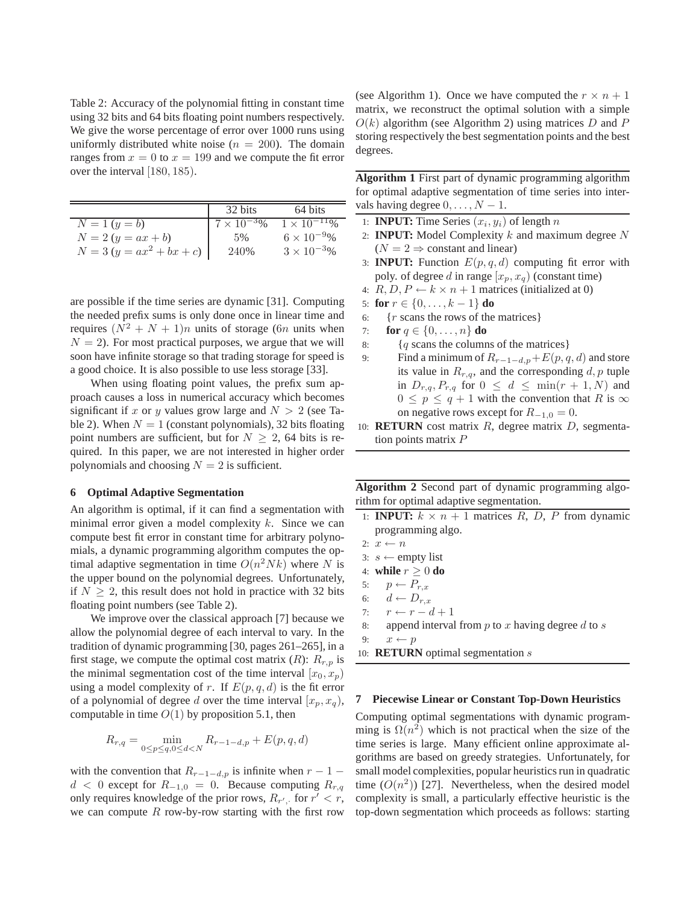Table 2: Accuracy of the polynomial fitting in constant time using 32 bits and 64 bits floating point numbers respectively. We give the worse percentage of error over 1000 runs using uniformly distributed white noise ( $n = 200$ ). The domain ranges from  $x = 0$  to  $x = 199$  and we compute the fit error over the interval [180, 185).

|                             | 32 bits              | 64 bits                          |
|-----------------------------|----------------------|----------------------------------|
| $N = 1 (y = b)$             | $7 \times 10^{-3}$ % | $1 \times \overline{10^{-11}\%}$ |
| $N = 2 (y = ax + b)$        | .5%                  | $6 \times 10^{-9}$ %             |
| $N = 3 (y = ax^2 + bx + c)$ | 240%                 | $3 \times 10^{-3}$ %             |

are possible if the time series are dynamic [31]. Computing the needed prefix sums is only done once in linear time and requires  $(N^2 + N + 1)n$  units of storage (6n units when  $N = 2$ ). For most practical purposes, we argue that we will soon have infinite storage so that trading storage for speed is a good choice. It is also possible to use less storage [33].

When using floating point values, the prefix sum approach causes a loss in numerical accuracy which becomes significant if x or y values grow large and  $N > 2$  (see Table 2). When  $N = 1$  (constant polynomials), 32 bits floating point numbers are sufficient, but for  $N \geq 2$ , 64 bits is required. In this paper, we are not interested in higher order polynomials and choosing  $N = 2$  is sufficient.

### **6 Optimal Adaptive Segmentation**

An algorithm is optimal, if it can find a segmentation with minimal error given a model complexity  $k$ . Since we can compute best fit error in constant time for arbitrary polynomials, a dynamic programming algorithm computes the optimal adaptive segmentation in time  $O(n^2 Nk)$  where N is the upper bound on the polynomial degrees. Unfortunately, if  $N \geq 2$ , this result does not hold in practice with 32 bits floating point numbers (see Table 2).

We improve over the classical approach [7] because we allow the polynomial degree of each interval to vary. In the tradition of dynamic programming [30, pages 261–265], in a first stage, we compute the optimal cost matrix  $(R)$ :  $R_{r,p}$  is the minimal segmentation cost of the time interval  $[x_0, x_p)$ using a model complexity of r. If  $E(p, q, d)$  is the fit error of a polynomial of degree d over the time interval  $[x_p, x_q)$ , computable in time  $O(1)$  by proposition 5.1, then

$$
R_{r,q} = \min_{0 \le p \le q, 0 \le d < N} R_{r-1-d,p} + E(p,q,d)
$$

with the convention that  $R_{r-1-d,p}$  is infinite when  $r-1$  –  $d < 0$  except for  $R_{-1,0} = 0$ . Because computing  $R_{r,q}$ only requires knowledge of the prior rows,  $R_{r'}$ , for  $r' < r$ , we can compute  $R$  row-by-row starting with the first row

(see Algorithm 1). Once we have computed the  $r \times n + 1$ matrix, we reconstruct the optimal solution with a simple  $O(k)$  algorithm (see Algorithm 2) using matrices D and P storing respectively the best segmentation points and the best degrees.

**Algorithm 1** First part of dynamic programming algorithm for optimal adaptive segmentation of time series into intervals having degree  $0, \ldots, N - 1$ .

- 1: **INPUT:** Time Series  $(x_i, y_i)$  of length n
- 2: **INPUT:** Model Complexity  $k$  and maximum degree  $N$  $(N = 2 \Rightarrow$  constant and linear)
- 3: **INPUT:** Function  $E(p, q, d)$  computing fit error with poly. of degree d in range  $[x_p, x_q)$  (constant time)
- 4:  $R, D, P \leftarrow k \times n + 1$  matrices (initialized at 0)
- 5: **for**  $r \in \{0, ..., k-1\}$  **do**
- 6:  $\{r \text{ scans the rows of the matrices}\}$
- 7: **for**  $q \in \{0, ..., n\}$  **do**
- 8:  ${q}$  scans the columns of the matrices }
- 9: Find a minimum of  $R_{r-1-d,p}+E(p,q,d)$  and store its value in  $R_{r,q}$ , and the corresponding  $d, p$  tuple in  $D_{r,q}, P_{r,q}$  for  $0 \leq d \leq \min(r+1, N)$  and  $0 \leq p \leq q + 1$  with the convention that R is  $\infty$ on negative rows except for  $R_{-1,0} = 0$ .
- 10: **RETURN** cost matrix R, degree matrix D, segmentation points matrix P

**Algorithm 2** Second part of dynamic programming algorithm for optimal adaptive segmentation.

- 1: **INPUT:**  $k \times n + 1$  matrices R, D, P from dynamic programming algo.
- 2:  $x \leftarrow n$
- 3:  $s$  ← empty list
- 4: **while**  $r \geq 0$  **do**
- 5:  $p \leftarrow P_{r,x}$
- 6:  $d \leftarrow D_{r,x}$
- 7:  $r \leftarrow r d + 1$
- 8: append interval from  $p$  to  $x$  having degree  $d$  to  $s$

9:  $x \leftarrow p$ 

10: **RETURN** optimal segmentation s

## **7 Piecewise Linear or Constant Top-Down Heuristics**

Computing optimal segmentations with dynamic programming is  $\Omega(n^2)$  which is not practical when the size of the time series is large. Many efficient online approximate algorithms are based on greedy strategies. Unfortunately, for small model complexities, popular heuristics run in quadratic time  $(O(n^2))$  [27]. Nevertheless, when the desired model complexity is small, a particularly effective heuristic is the top-down segmentation which proceeds as follows: starting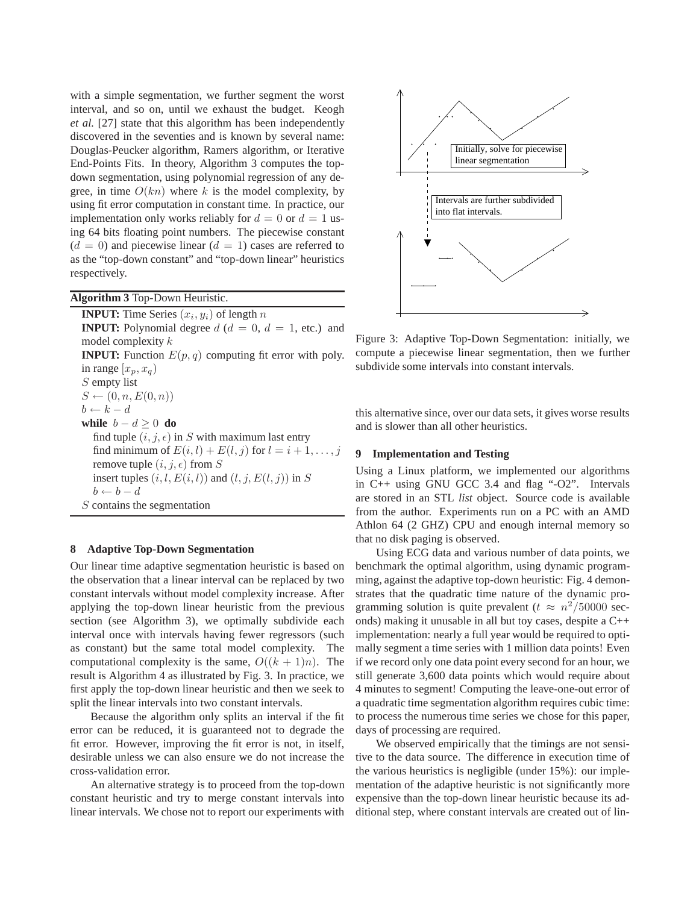with a simple segmentation, we further segment the worst interval, and so on, until we exhaust the budget. Keogh *et al.* [27] state that this algorithm has been independently discovered in the seventies and is known by several name: Douglas-Peucker algorithm, Ramers algorithm, or Iterative End-Points Fits. In theory, Algorithm 3 computes the topdown segmentation, using polynomial regression of any degree, in time  $O(kn)$  where k is the model complexity, by using fit error computation in constant time. In practice, our implementation only works reliably for  $d = 0$  or  $d = 1$  using 64 bits floating point numbers. The piecewise constant  $(d = 0)$  and piecewise linear  $(d = 1)$  cases are referred to as the "top-down constant" and "top-down linear" heuristics respectively.

**Algorithm 3** Top-Down Heuristic.

**INPUT:** Time Series  $(x_i, y_i)$  of length n **INPUT:** Polynomial degree  $d$  ( $d = 0$ ,  $d = 1$ , etc.) and model complexity k **INPUT:** Function  $E(p, q)$  computing fit error with poly. in range  $[x_p, x_q)$ S empty list  $S \leftarrow (0, n, E(0, n))$  $b \leftarrow k - d$ **while**  $b - d \geq 0$  **do** find tuple  $(i, j, \epsilon)$  in S with maximum last entry find minimum of  $E(i, l) + E(l, j)$  for  $l = i + 1, \ldots, j$ remove tuple  $(i, j, \epsilon)$  from S insert tuples  $(i, l, E(i, l))$  and  $(l, j, E(l, j))$  in S  $b \leftarrow b - d$ S contains the segmentation

# **8 Adaptive Top-Down Segmentation**

Our linear time adaptive segmentation heuristic is based on the observation that a linear interval can be replaced by two constant intervals without model complexity increase. After applying the top-down linear heuristic from the previous section (see Algorithm 3), we optimally subdivide each interval once with intervals having fewer regressors (such as constant) but the same total model complexity. The computational complexity is the same,  $O((k + 1)n)$ . The result is Algorithm 4 as illustrated by Fig. 3. In practice, we first apply the top-down linear heuristic and then we seek to split the linear intervals into two constant intervals.

Because the algorithm only splits an interval if the fit error can be reduced, it is guaranteed not to degrade the fit error. However, improving the fit error is not, in itself, desirable unless we can also ensure we do not increase the cross-validation error.

An alternative strategy is to proceed from the top-down constant heuristic and try to merge constant intervals into linear intervals. We chose not to report our experiments with



Figure 3: Adaptive Top-Down Segmentation: initially, we compute a piecewise linear segmentation, then we further subdivide some intervals into constant intervals.

this alternative since, over our data sets, it gives worse results and is slower than all other heuristics.

### **9 Implementation and Testing**

Using a Linux platform, we implemented our algorithms in C++ using GNU GCC 3.4 and flag "-O2". Intervals are stored in an STL *list* object. Source code is available from the author. Experiments run on a PC with an AMD Athlon 64 (2 GHZ) CPU and enough internal memory so that no disk paging is observed.

Using ECG data and various number of data points, we benchmark the optimal algorithm, using dynamic programming, against the adaptive top-down heuristic: Fig. 4 demonstrates that the quadratic time nature of the dynamic programming solution is quite prevalent ( $t \approx n^2/50000$  seconds) making it unusable in all but toy cases, despite a C++ implementation: nearly a full year would be required to optimally segment a time series with 1 million data points! Even if we record only one data point every second for an hour, we still generate 3,600 data points which would require about 4 minutes to segment! Computing the leave-one-out error of a quadratic time segmentation algorithm requires cubic time: to process the numerous time series we chose for this paper, days of processing are required.

We observed empirically that the timings are not sensitive to the data source. The difference in execution time of the various heuristics is negligible (under 15%): our implementation of the adaptive heuristic is not significantly more expensive than the top-down linear heuristic because its additional step, where constant intervals are created out of lin-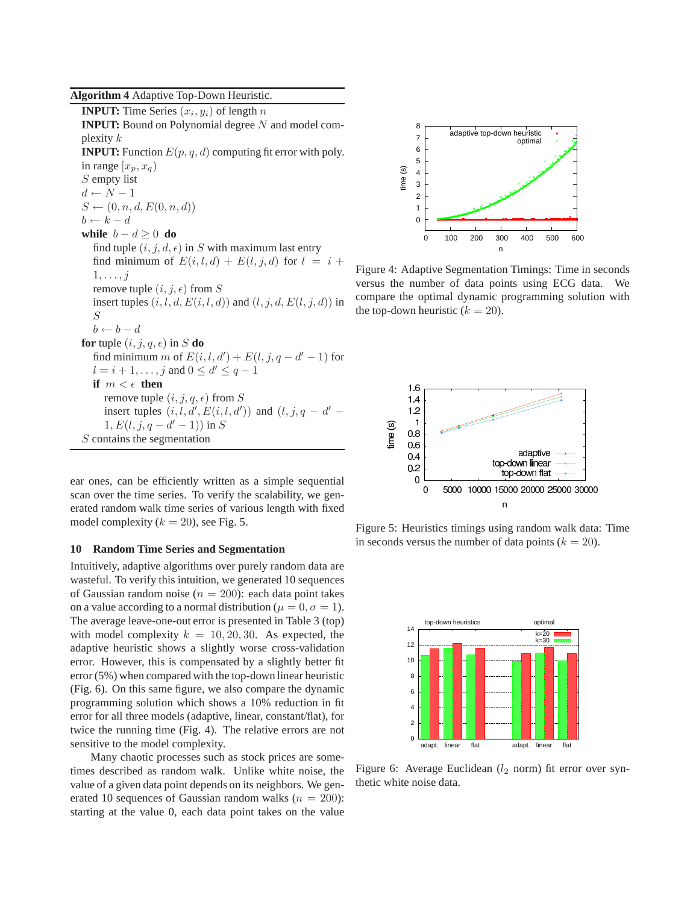**Algorithm 4** Adaptive Top-Down Heuristic.

**INPUT:** Time Series  $(x_i, y_i)$  of length n **INPUT:** Bound on Polynomial degree N and model complexity  $k$ **INPUT:** Function  $E(p, q, d)$  computing fit error with poly. in range  $[x_p, x_q]$ S empty list  $d \leftarrow N - 1$  $S \leftarrow (0, n, d, E(0, n, d))$  $b \leftarrow k - d$ **while**  $b - d \geq 0$  **do** find tuple  $(i, j, d, \epsilon)$  in S with maximum last entry find minimum of  $E(i, l, d) + E(l, j, d)$  for  $l = i +$  $1, \ldots, j$ remove tuple  $(i, j, \epsilon)$  from S insert tuples  $(i, l, d, E(i, l, d))$  and  $(l, j, d, E(l, j, d))$  in S  $b \leftarrow b - d$ **for** tuple  $(i, j, q, \epsilon)$  in S **do** find minimum m of  $E(i, l, d') + E(l, j, q - d' - 1)$  for  $l = i + 1, \ldots, j$  and  $0 \le d' \le q - 1$ **if**  $m < \epsilon$  **then** remove tuple  $(i, j, q, \epsilon)$  from S insert tuples  $(i, l, d', E(i, l, d'))$  and  $(l, j, q - d' 1, E(l, j, q - d' - 1))$  in S  $S$  contains the segmentation

ear ones, can be efficiently written as a simple sequential scan over the time series. To verify the scalability, we generated random walk time series of various length with fixed model complexity ( $k = 20$ ), see Fig. 5.

# **10 Random Time Series and Segmentation**

Intuitively, adaptive algorithms over purely random data are wasteful. To verify this intuition, we generated 10 sequences of Gaussian random noise ( $n = 200$ ): each data point takes on a value according to a normal distribution ( $\mu = 0, \sigma = 1$ ). The average leave-one-out error is presented in Table 3 (top) with model complexity  $k = 10, 20, 30$ . As expected, the adaptive heuristic shows a slightly worse cross-validation error. However, this is compensated by a slightly better fit error (5%) when compared with the top-down linear heuristic (Fig. 6). On this same figure, we also compare the dynamic programming solution which shows a 10% reduction in fit error for all three models (adaptive, linear, constant/flat), for twice the running time (Fig. 4). The relative errors are not sensitive to the model complexity.

Many chaotic processes such as stock prices are sometimes described as random walk. Unlike white noise, the value of a given data point depends on its neighbors. We generated 10 sequences of Gaussian random walks ( $n = 200$ ): starting at the value 0, each data point takes on the value



Figure 4: Adaptive Segmentation Timings: Time in seconds versus the number of data points using ECG data. We compare the optimal dynamic programming solution with the top-down heuristic  $(k = 20)$ .



Figure 5: Heuristics timings using random walk data: Time in seconds versus the number of data points  $(k = 20)$ .



Figure 6: Average Euclidean  $(l_2 \text{ norm})$  fit error over synthetic white noise data.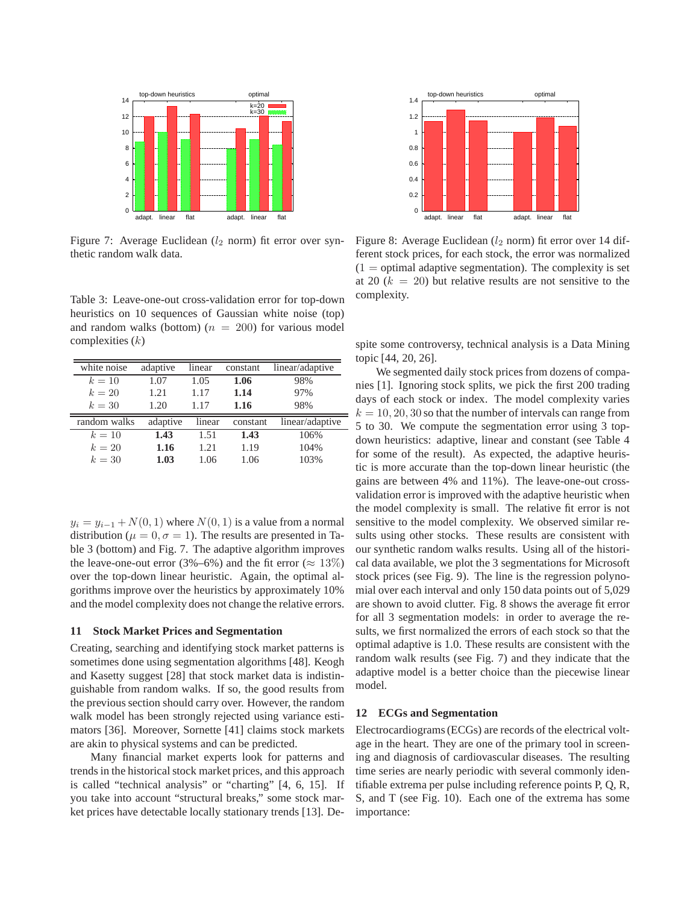

Figure 7: Average Euclidean  $(l_2 \text{ norm})$  fit error over synthetic random walk data.

Table 3: Leave-one-out cross-validation error for top-down heuristics on 10 sequences of Gaussian white noise (top) and random walks (bottom) ( $n = 200$ ) for various model complexities  $(k)$ 

| white noise  | adaptive | linear | constant | linear/adaptive |
|--------------|----------|--------|----------|-----------------|
| $k=10$       | 1.07     | 1.05   | 1.06     | 98%             |
| $k=20$       | 1.21     | 1.17   | 1.14     | 97%             |
| $k=30$       | 1.20     | 1.17   | 1.16     | 98%             |
|              |          |        |          |                 |
| random walks | adaptive | linear | constant | linear/adaptive |
| $k=10$       | 1.43     | 1.51   | 1.43     | 106%            |
| $k=20$       | 1.16     | 1.21   | 1.19     | 104%            |

 $y_i = y_{i-1} + N(0, 1)$  where  $N(0, 1)$  is a value from a normal distribution ( $\mu = 0, \sigma = 1$ ). The results are presented in Table 3 (bottom) and Fig. 7. The adaptive algorithm improves the leave-one-out error (3%–6%) and the fit error ( $\approx 13\%$ ) over the top-down linear heuristic. Again, the optimal algorithms improve over the heuristics by approximately 10% and the model complexity does not change the relative errors.

#### **11 Stock Market Prices and Segmentation**

Creating, searching and identifying stock market patterns is sometimes done using segmentation algorithms [48]. Keogh and Kasetty suggest [28] that stock market data is indistinguishable from random walks. If so, the good results from the previous section should carry over. However, the random walk model has been strongly rejected using variance estimators [36]. Moreover, Sornette [41] claims stock markets are akin to physical systems and can be predicted.

Many financial market experts look for patterns and trends in the historical stock market prices, and this approach is called "technical analysis" or "charting" [4, 6, 15]. If you take into account "structural breaks," some stock market prices have detectable locally stationary trends [13]. De-



Figure 8: Average Euclidean  $(l_2 \text{ norm})$  fit error over 14 different stock prices, for each stock, the error was normalized  $(1$  = optimal adaptive segmentation). The complexity is set at 20  $(k = 20)$  but relative results are not sensitive to the complexity.

spite some controversy, technical analysis is a Data Mining topic [44, 20, 26].

We segmented daily stock prices from dozens of companies [1]. Ignoring stock splits, we pick the first 200 trading days of each stock or index. The model complexity varies  $k = 10, 20, 30$  so that the number of intervals can range from 5 to 30. We compute the segmentation error using 3 topdown heuristics: adaptive, linear and constant (see Table 4 for some of the result). As expected, the adaptive heuristic is more accurate than the top-down linear heuristic (the gains are between 4% and 11%). The leave-one-out crossvalidation error is improved with the adaptive heuristic when the model complexity is small. The relative fit error is not sensitive to the model complexity. We observed similar results using other stocks. These results are consistent with our synthetic random walks results. Using all of the historical data available, we plot the 3 segmentations for Microsoft stock prices (see Fig. 9). The line is the regression polynomial over each interval and only 150 data points out of 5,029 are shown to avoid clutter. Fig. 8 shows the average fit error for all 3 segmentation models: in order to average the results, we first normalized the errors of each stock so that the optimal adaptive is 1.0. These results are consistent with the random walk results (see Fig. 7) and they indicate that the adaptive model is a better choice than the piecewise linear model.

#### **12 ECGs and Segmentation**

Electrocardiograms (ECGs) are records of the electrical voltage in the heart. They are one of the primary tool in screening and diagnosis of cardiovascular diseases. The resulting time series are nearly periodic with several commonly identifiable extrema per pulse including reference points P, Q, R, S, and T (see Fig. 10). Each one of the extrema has some importance: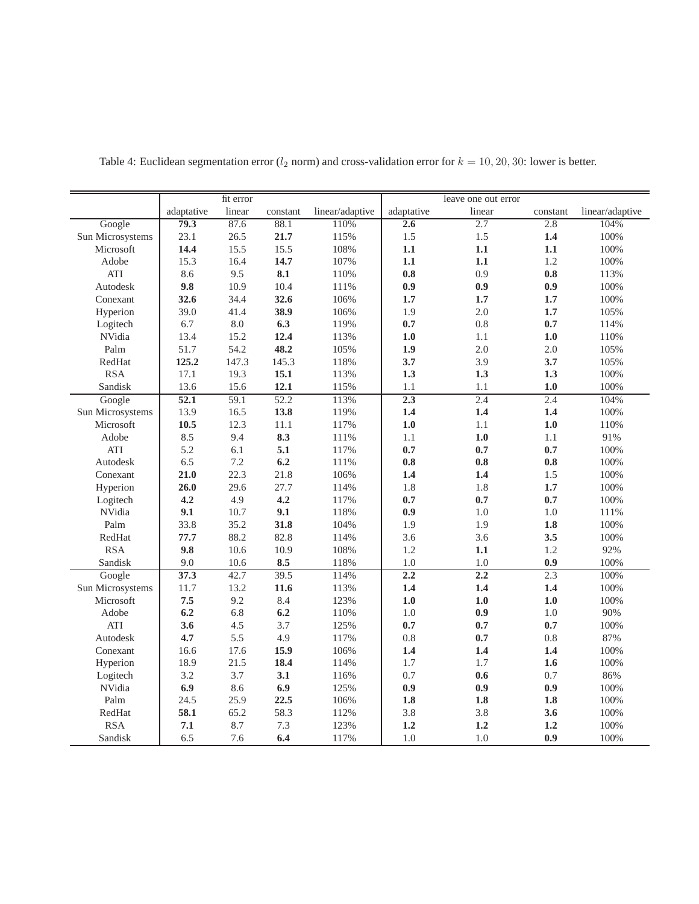|                  |            | fit error |          |                 |            | leave one out error |          |                 |
|------------------|------------|-----------|----------|-----------------|------------|---------------------|----------|-----------------|
|                  | adaptative | linear    | constant | linear/adaptive | adaptative | linear              | constant | linear/adaptive |
| Google           | 79.3       | 87.6      | 88.1     | 110%            | 2.6        | 2.7                 | 2.8      | 104%            |
| Sun Microsystems | 23.1       | 26.5      | 21.7     | 115%            | 1.5        | 1.5                 | 1.4      | 100%            |
| Microsoft        | 14.4       | 15.5      | 15.5     | 108%            | 1.1        | 1.1                 | 1.1      | 100%            |
| Adobe            | 15.3       | 16.4      | 14.7     | 107%            | 1.1        | 1.1                 | 1.2      | 100%            |
| ATI              | 8.6        | 9.5       | 8.1      | 110%            | 0.8        | 0.9                 | 0.8      | 113%            |
| Autodesk         | 9.8        | 10.9      | 10.4     | 111%            | 0.9        | 0.9                 | 0.9      | 100%            |
| Conexant         | 32.6       | 34.4      | 32.6     | 106%            | 1.7        | 1.7                 | 1.7      | 100%            |
| Hyperion         | 39.0       | 41.4      | 38.9     | 106%            | 1.9        | 2.0                 | 1.7      | 105%            |
| Logitech         | 6.7        | 8.0       | 6.3      | 119%            | 0.7        | 0.8                 | 0.7      | 114%            |
| NVidia           | 13.4       | 15.2      | 12.4     | 113%            | 1.0        | 1.1                 | 1.0      | 110%            |
| Palm             | 51.7       | 54.2      | 48.2     | 105%            | 1.9        | 2.0                 | 2.0      | 105%            |
| RedHat           | 125.2      | 147.3     | 145.3    | 118%            | 3.7        | 3.9                 | 3.7      | 105%            |
| <b>RSA</b>       | 17.1       | 19.3      | 15.1     | 113%            | 1.3        | 1.3                 | 1.3      | 100%            |
| Sandisk          | 13.6       | 15.6      | 12.1     | 115%            | 1.1        | 1.1                 | 1.0      | 100%            |
| Google           | 52.1       | 59.1      | 52.2     | 113%            | 2.3        | 2.4                 | 2.4      | 104%            |
| Sun Microsystems | 13.9       | 16.5      | 13.8     | 119%            | 1.4        | 1.4                 | 1.4      | 100%            |
| Microsoft        | 10.5       | 12.3      | 11.1     | 117%            | 1.0        | 1.1                 | 1.0      | 110%            |
| Adobe            | 8.5        | 9.4       | 8.3      | 111%            | 1.1        | 1.0                 | 1.1      | 91%             |
| <b>ATI</b>       | 5.2        | 6.1       | 5.1      | 117%            | 0.7        | 0.7                 | 0.7      | 100%            |
| Autodesk         | 6.5        | 7.2       | 6.2      | 111%            | 0.8        | 0.8                 | 0.8      | 100%            |
| Conexant         | 21.0       | 22.3      | 21.8     | 106%            | 1.4        | 1.4                 | 1.5      | 100%            |
| Hyperion         | 26.0       | 29.6      | 27.7     | 114%            | 1.8        | 1.8                 | 1.7      | 100%            |
| Logitech         | 4.2        | 4.9       | 4.2      | 117%            | 0.7        | 0.7                 | 0.7      | 100%            |
| NVidia           | 9.1        | 10.7      | 9.1      | 118%            | 0.9        | 1.0                 | 1.0      | 111%            |
| Palm             | 33.8       | 35.2      | 31.8     | 104%            | 1.9        | 1.9                 | 1.8      | 100%            |
| RedHat           | 77.7       | 88.2      | 82.8     | 114%            | 3.6        | 3.6                 | 3.5      | 100%            |
| <b>RSA</b>       | 9.8        | 10.6      | 10.9     | 108%            | 1.2        | 1.1                 | 1.2      | 92%             |
| Sandisk          | 9.0        | 10.6      | 8.5      | 118%            | 1.0        | 1.0                 | 0.9      | 100%            |
| Google           | 37.3       | 42.7      | 39.5     | 114%            | 2.2        | 2.2                 | 2.3      | 100%            |
| Sun Microsystems | 11.7       | 13.2      | 11.6     | 113%            | 1.4        | 1.4                 | 1.4      | 100%            |
| Microsoft        | 7.5        | 9.2       | 8.4      | 123%            | 1.0        | 1.0                 | 1.0      | 100%            |
| Adobe            | 6.2        | 6.8       | 6.2      | 110%            | 1.0        | 0.9                 | 1.0      | 90%             |
| ATI              | 3.6        | 4.5       | 3.7      | 125%            | 0.7        | 0.7                 | 0.7      | 100%            |
| Autodesk         | 4.7        | 5.5       | 4.9      | 117%            | 0.8        | 0.7                 | 0.8      | 87%             |
| Conexant         | 16.6       | 17.6      | 15.9     | 106%            | 1.4        | 1.4                 | 1.4      | 100%            |
| Hyperion         | 18.9       | 21.5      | 18.4     | 114%            | 1.7        | 1.7                 | 1.6      | 100%            |
| Logitech         | 3.2        | 3.7       | 3.1      | 116%            | 0.7        | 0.6                 | 0.7      | 86%             |
| NVidia           | 6.9        | 8.6       | 6.9      | 125%            | 0.9        | 0.9                 | 0.9      | 100%            |
| Palm             | 24.5       | 25.9      | 22.5     | 106%            | 1.8        | 1.8                 | 1.8      | 100%            |
| RedHat           | 58.1       | 65.2      | 58.3     | 112%            | 3.8        | 3.8                 | 3.6      | 100%            |
| <b>RSA</b>       | $\bf 7.1$  | 8.7       | 7.3      | 123%            | 1.2        | 1.2                 | 1.2      | 100%            |
| Sandisk          | 6.5        | 7.6       | 6.4      | 117%            | 1.0        | 1.0                 | 0.9      | 100%            |

Table 4: Euclidean segmentation error ( $l_2$  norm) and cross-validation error for  $k = 10, 20, 30$ : lower is better.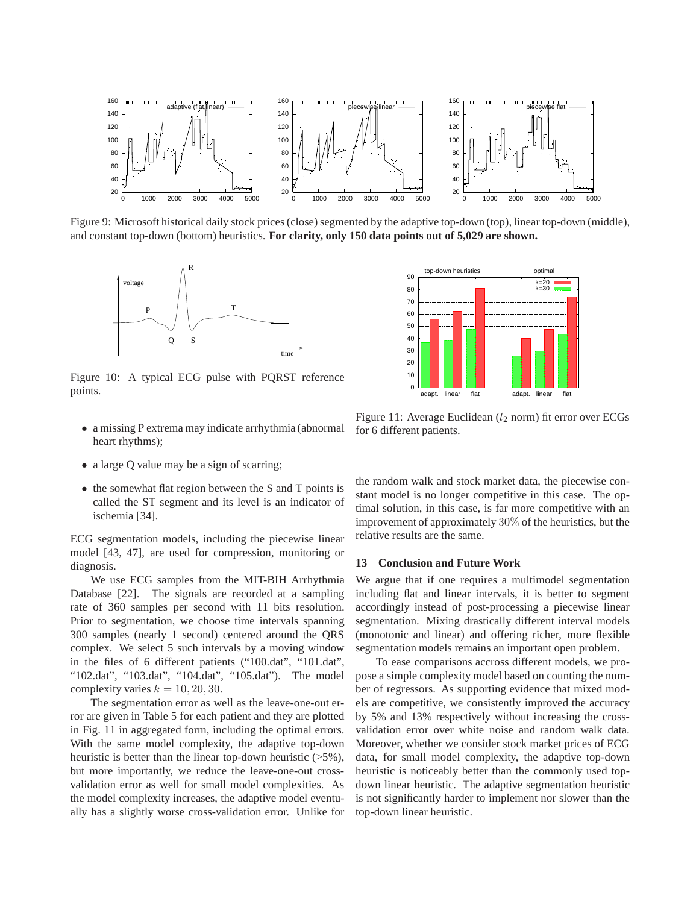

Figure 9: Microsoft historical daily stock prices (close) segmented by the adaptive top-down (top), linear top-down (middle), and constant top-down (bottom) heuristics. **For clarity, only 150 data points out of 5,029 are shown.**



Figure 10: A typical ECG pulse with PQRST reference points.



- a missing P extrema may indicate arrhythmia (abnormal heart rhythms);
- a large Q value may be a sign of scarring;
- the somewhat flat region between the S and T points is called the ST segment and its level is an indicator of ischemia [34].

ECG segmentation models, including the piecewise linear model [43, 47], are used for compression, monitoring or diagnosis.

We use ECG samples from the MIT-BIH Arrhythmia Database [22]. The signals are recorded at a sampling rate of 360 samples per second with 11 bits resolution. Prior to segmentation, we choose time intervals spanning 300 samples (nearly 1 second) centered around the QRS complex. We select 5 such intervals by a moving window in the files of 6 different patients ("100.dat", "101.dat", "102.dat", "103.dat", "104.dat", "105.dat"). The model complexity varies  $k = 10, 20, 30$ .

The segmentation error as well as the leave-one-out error are given in Table 5 for each patient and they are plotted in Fig. 11 in aggregated form, including the optimal errors. With the same model complexity, the adaptive top-down heuristic is better than the linear top-down heuristic (>5%), but more importantly, we reduce the leave-one-out crossvalidation error as well for small model complexities. As the model complexity increases, the adaptive model eventually has a slightly worse cross-validation error. Unlike for

Figure 11: Average Euclidean  $(l_2 \text{ norm})$  fit error over ECGs for 6 different patients.

the random walk and stock market data, the piecewise constant model is no longer competitive in this case. The optimal solution, in this case, is far more competitive with an improvement of approximately 30% of the heuristics, but the relative results are the same.

# **13 Conclusion and Future Work**

We argue that if one requires a multimodel segmentation including flat and linear intervals, it is better to segment accordingly instead of post-processing a piecewise linear segmentation. Mixing drastically different interval models (monotonic and linear) and offering richer, more flexible segmentation models remains an important open problem.

To ease comparisons accross different models, we propose a simple complexity model based on counting the number of regressors. As supporting evidence that mixed models are competitive, we consistently improved the accuracy by 5% and 13% respectively without increasing the crossvalidation error over white noise and random walk data. Moreover, whether we consider stock market prices of ECG data, for small model complexity, the adaptive top-down heuristic is noticeably better than the commonly used topdown linear heuristic. The adaptive segmentation heuristic is not significantly harder to implement nor slower than the top-down linear heuristic.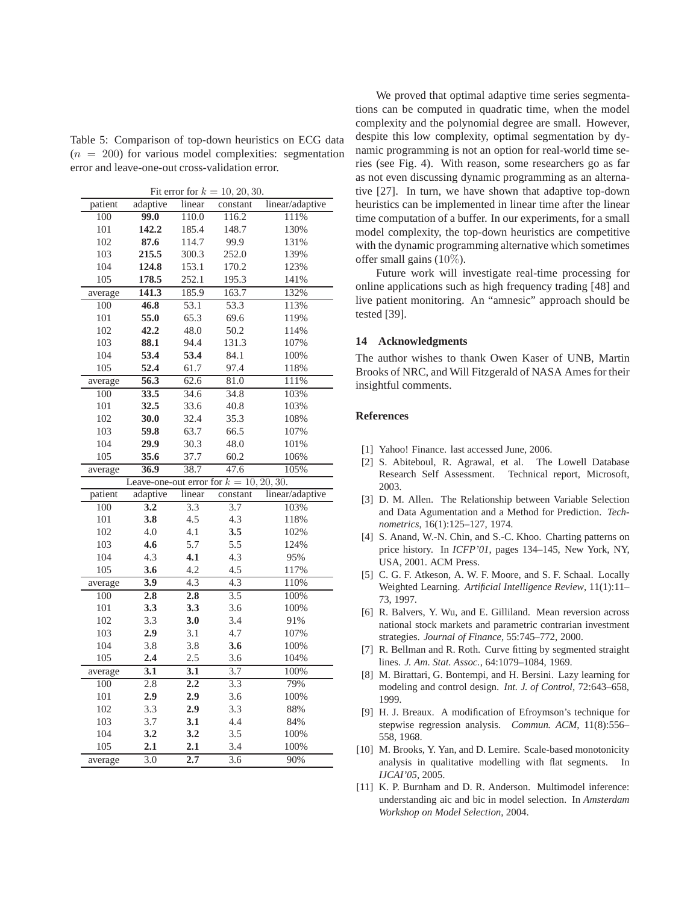Table 5: Comparison of top-down heuristics on ECG data  $(n = 200)$  for various model complexities: segmentation error and leave-one-out cross-validation error.

Fit error for  $k = 10, 20, 30$ .

| patient | adaptive                                   | linear           | constant         | linear/adaptive |
|---------|--------------------------------------------|------------------|------------------|-----------------|
| 100     | 99.0                                       | 110.0            | 116.2            | 111%            |
| 101     | 142.2                                      | 185.4            | 148.7            | 130%            |
| 102     | 87.6                                       | 114.7            | 99.9             | 131%            |
| 103     | 215.5                                      | 300.3            | 252.0            | 139%            |
| 104     | 124.8                                      | 153.1            | 170.2            | 123%            |
| 105     | 178.5                                      | 252.1            | 195.3            | 141%            |
| average | 141.3                                      | 185.9            | 163.7            | 132%            |
| 100     | 46.8                                       | 53.1             | 53.3             | 113%            |
| 101     | 55.0                                       | 65.3             | 69.6             | 119%            |
| 102     | 42.2                                       | 48.0             | 50.2             | 114%            |
| 103     | 88.1                                       | 94.4             | 131.3            | 107%            |
| 104     | 53.4                                       | 53.4             | 84.1             | 100%            |
| 105     | 52.4                                       | 61.7             | 97.4             | 118%            |
| average | 56.3                                       | 62.6             | 81.0             | 111%            |
| 100     | 33.5                                       | 34.6             | 34.8             | 103%            |
| 101     | 32.5                                       | 33.6             | 40.8             | 103%            |
| 102     | 30.0                                       | 32.4             | 35.3             | 108%            |
| 103     | 59.8                                       | 63.7             | 66.5             | 107%            |
| 104     | 29.9                                       | 30.3             | 48.0             | 101%            |
| 105     | 35.6                                       | 37.7             | 60.2             | 106%            |
| average | 36.9                                       | 38.7             | 47.6             | 105%            |
|         | Leave-one-out error for $k = 10, 20, 30$ . |                  |                  |                 |
| patient | adaptive                                   | linear           | constant         | linear/adaptive |
| 100     | 3.2                                        | 3.3              | 3.7              | 103%            |
| 101     | 3.8                                        | 4.5              | 4.3              | 118%            |
| 102     | 4.0                                        | 4.1              | 3.5              | 102%            |
| 103     | 4.6                                        | 5.7              | 5.5              | 124%            |
| 104     | 4.3                                        | 4.1              | 4.3              | 95%             |
| 105     | 3.6                                        | 4.2              | 4.5              | 117%            |
| average | $\overline{3.9}$                           | 4.3              | 4.3              | 110%            |
| 100     | $\overline{2.8}$                           | $\overline{2.8}$ | $\overline{3.5}$ | 100%            |
| 101     | 3.3                                        | 3.3              | 3.6              | 100%            |
| 102     | 3.3                                        | 3.0              | 3.4              | 91%             |
| 103     | 2.9                                        | 3.1              | 4.7              | 107%            |
| 104     | 3.8                                        | 3.8              | 3.6              | 100%            |
| 105     | 2.4                                        | 2.5              | 3.6              | 104%            |
| average | $\overline{3.1}$                           | $\overline{3.1}$ | 3.7              | 100%            |
| 100     | $\overline{2.8}$                           | 2.2              | 3.3              | 79%             |
| 101     | 2.9                                        | 2.9              | 3.6              | 100%            |
| 102     | 3.3                                        | 2.9              | 3.3              | 88%             |
| 103     | 3.7                                        | 3.1              | 4.4              | 84%             |
| 104     | 3.2                                        | 3.2              | 3.5              | 100%            |
| 105     | 2.1                                        | 2.1              | 3.4              | 100%            |
| average | $\overline{3.0}$                           | 2.7              | $\overline{3.6}$ | 90%             |

We proved that optimal adaptive time series segmentations can be computed in quadratic time, when the model complexity and the polynomial degree are small. However, despite this low complexity, optimal segmentation by dynamic programming is not an option for real-world time series (see Fig. 4). With reason, some researchers go as far as not even discussing dynamic programming as an alternative [27]. In turn, we have shown that adaptive top-down heuristics can be implemented in linear time after the linear time computation of a buffer. In our experiments, for a small model complexity, the top-down heuristics are competitive with the dynamic programming alternative which sometimes offer small gains (10%).

Future work will investigate real-time processing for online applications such as high frequency trading [48] and live patient monitoring. An "amnesic" approach should be tested [39].

# **14 Acknowledgments**

The author wishes to thank Owen Kaser of UNB, Martin Brooks of NRC, and Will Fitzgerald of NASA Ames for their insightful comments.

# **References**

- [1] Yahoo! Finance. last accessed June, 2006.
- [2] S. Abiteboul, R. Agrawal, et al. The Lowell Database Research Self Assessment. Technical report, Microsoft, 2003.
- [3] D. M. Allen. The Relationship between Variable Selection and Data Agumentation and a Method for Prediction. *Technometrics*, 16(1):125–127, 1974.
- [4] S. Anand, W.-N. Chin, and S.-C. Khoo. Charting patterns on price history. In *ICFP'01*, pages 134–145, New York, NY, USA, 2001. ACM Press.
- [5] C. G. F. Atkeson, A. W. F. Moore, and S. F. Schaal. Locally Weighted Learning. *Artificial Intelligence Review*, 11(1):11– 73, 1997.
- [6] R. Balvers, Y. Wu, and E. Gilliland. Mean reversion across national stock markets and parametric contrarian investment strategies. *Journal of Finance*, 55:745–772, 2000.
- [7] R. Bellman and R. Roth. Curve fitting by segmented straight lines. *J. Am. Stat. Assoc.*, 64:1079–1084, 1969.
- [8] M. Birattari, G. Bontempi, and H. Bersini. Lazy learning for modeling and control design. *Int. J. of Control*, 72:643–658, 1999.
- [9] H. J. Breaux. A modification of Efroymson's technique for stepwise regression analysis. *Commun. ACM*, 11(8):556– 558, 1968.
- [10] M. Brooks, Y. Yan, and D. Lemire. Scale-based monotonicity analysis in qualitative modelling with flat segments. *IJCAI'05*, 2005.
- [11] K. P. Burnham and D. R. Anderson. Multimodel inference: understanding aic and bic in model selection. In *Amsterdam Workshop on Model Selection*, 2004.